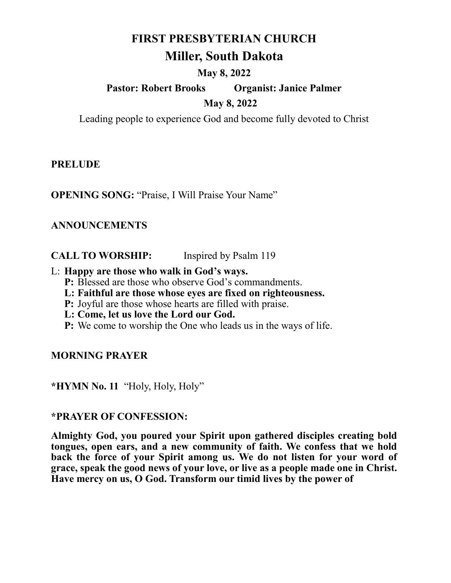# **FIRST PRESBYTERIAN CHURCH**

# **Miller, South Dakota**

## **May 8, 2022**

# **Pastor: Robert Brooks Organist: Janice Palmer May 8, 2022**

Leading people to experience God and become fully devoted to Christ

**PRELUDE**

**OPENING SONG:** "Praise, I Will Praise Your Name"

# **ANNOUNCEMENTS**

**CALL TO WORSHIP:** Inspired by Psalm 119

#### L: **Happy are those who walk in God's ways.**

- **P:** Blessed are those who observe God's commandments.
- **L: Faithful are those whose eyes are fixed on righteousness.**
- **P:** Joyful are those whose hearts are filled with praise.
- **L: Come, let us love the Lord our God.**
- **P:** We come to worship the One who leads us in the ways of life.

# **MORNING PRAYER**

**\*HYMN No. 11** "Holy, Holy, Holy"

#### **\*PRAYER OF CONFESSION:**

**Almighty God, you poured your Spirit upon gathered disciples creating bold tongues, open ears, and a new community of faith. We confess that we hold back the force of your Spirit among us. We do not listen for your word of grace, speak the good news of your love, or live as a people made one in Christ. Have mercy on us, O God. Transform our timid lives by the power of**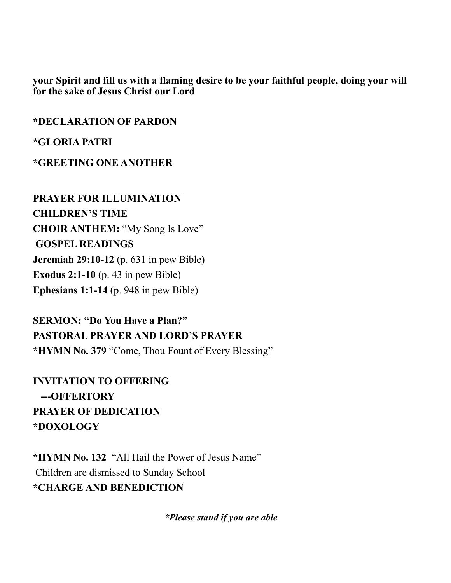**your Spirit and fill us with a flaming desire to be your faithful people, doing your will for the sake of Jesus Christ our Lord**

**\*DECLARATION OF PARDON**

**\*GLORIA PATRI**

**\*GREETING ONE ANOTHER**

**PRAYER FOR ILLUMINATION CHILDREN'S TIME CHOIR ANTHEM:** "My Song Is Love" **GOSPEL READINGS Jeremiah 29:10-12** (p. 631 in pew Bible) **Exodus 2:1-10 (**p. 43 in pew Bible) **Ephesians 1:1-14** (p. 948 in pew Bible)

**SERMON: "Do You Have a Plan?" PASTORAL PRAYER AND LORD'S PRAYER \*HYMN No. 379** "Come, Thou Fount of Every Blessing"

**INVITATION TO OFFERING ---OFFERTORY PRAYER OF DEDICATION \*DOXOLOGY**

**\*HYMN No. 132** "All Hail the Power of Jesus Name" Children are dismissed to Sunday School **\*CHARGE AND BENEDICTION**

*\*Please stand if you are able*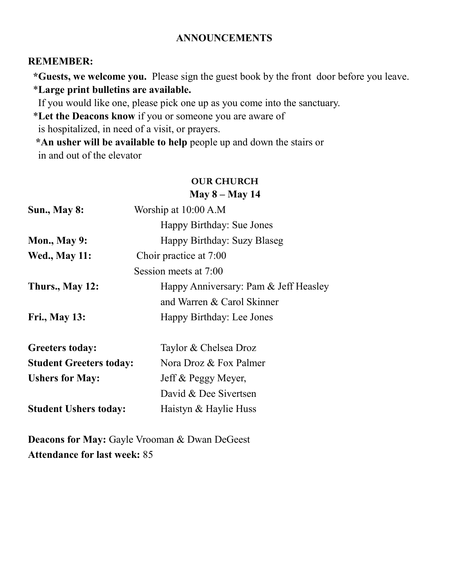#### **ANNOUNCEMENTS**

#### **REMEMBER:**

 **\*Guests, we welcome you.** Please sign the guest book by the front door before you leave. \***Large print bulletins are available.** 

If you would like one, please pick one up as you come into the sanctuary.

\***Let the Deacons know** if you or someone you are aware of

is hospitalized, in need of a visit, or prayers.

 **\*An usher will be available to help** people up and down the stairs or in and out of the elevator

#### **OUR CHURCH May 8 – May 14**

| <b>Sun., May 8:</b>            | Worship at 10:00 A.M                  |
|--------------------------------|---------------------------------------|
|                                | Happy Birthday: Sue Jones             |
| <b>Mon., May 9:</b>            | Happy Birthday: Suzy Blaseg           |
| <b>Wed., May 11:</b>           | Choir practice at 7:00                |
|                                | Session meets at 7:00                 |
| Thurs., May 12:                | Happy Anniversary: Pam & Jeff Heasley |
|                                | and Warren & Carol Skinner            |
| <b>Fri., May 13:</b>           | Happy Birthday: Lee Jones             |
| <b>Greeters today:</b>         | Taylor & Chelsea Droz                 |
| <b>Student Greeters today:</b> | Nora Droz & Fox Palmer                |
| <b>Ushers for May:</b>         | Jeff & Peggy Meyer,                   |
|                                | David & Dee Sivertsen                 |
| <b>Student Ushers today:</b>   | Haistyn & Haylie Huss                 |
|                                |                                       |

**Deacons for May:** Gayle Vrooman & Dwan DeGeest **Attendance for last week:** 85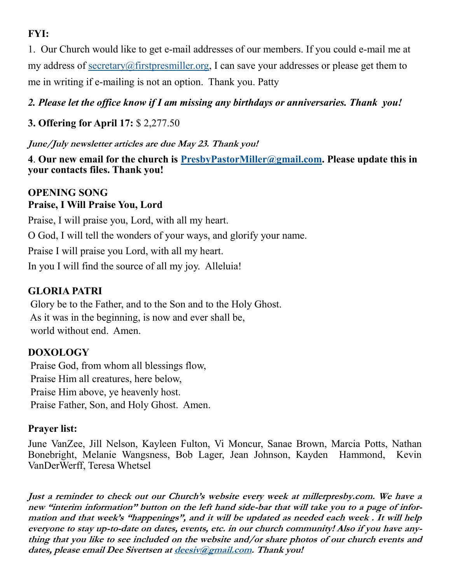# **FYI:**

1. Our Church would like to get e-mail addresses of our members. If you could e-mail me at my address of [secretary@firstpresmiller.org,](mailto:secretary@firstpresmiller.org) I can save your addresses or please get them to me in writing if e-mailing is not an option. Thank you. Patty

# *2. Please let the office know if I am missing any birthdays or anniversaries. Thank you!*

# **3. Offering for April 17:** \$ 2,277.50

**June/July newsletter articles are due May 23. Thank you!**

**4**. **Our new email for the church is [PresbyPastorMiller@gmail.com.](mailto:PresbyPastorMiller@gmail.com) Please update this in your contacts files. Thank you!**

## **OPENING SONG Praise, I Will Praise You, Lord**

Praise, I will praise you, Lord, with all my heart. O God, I will tell the wonders of your ways, and glorify your name. Praise I will praise you Lord, with all my heart. In you I will find the source of all my joy. Alleluia!

# **GLORIA PATRI**

Glory be to the Father, and to the Son and to the Holy Ghost. As it was in the beginning, is now and ever shall be, world without end. Amen.

# **DOXOLOGY**

Praise God, from whom all blessings flow, Praise Him all creatures, here below, Praise Him above, ye heavenly host. Praise Father, Son, and Holy Ghost. Amen.

# **Prayer list:**

June VanZee, Jill Nelson, Kayleen Fulton, Vi Moncur, Sanae Brown, Marcia Potts, Nathan Bonebright, Melanie Wangsness, Bob Lager, Jean Johnson, Kayden Hammond, Kevin VanDerWerff, Teresa Whetsel

**Just a reminder to check out our Church's website every week at millerpresby.com. We have a new "interim information" button on the left hand side-bar that will take you to a page of information and that week's "happenings", and it will be updated as needed each week . It will help everyone to stay up-to-date on dates, events, etc. in our church community! Also if you have anything that you like to see included on the website and/or share photos of our church events and dates, please email Dee Sivertsen at [deesiv@gmail.com.](mailto:deesiv@gmail.com) Thank you!**